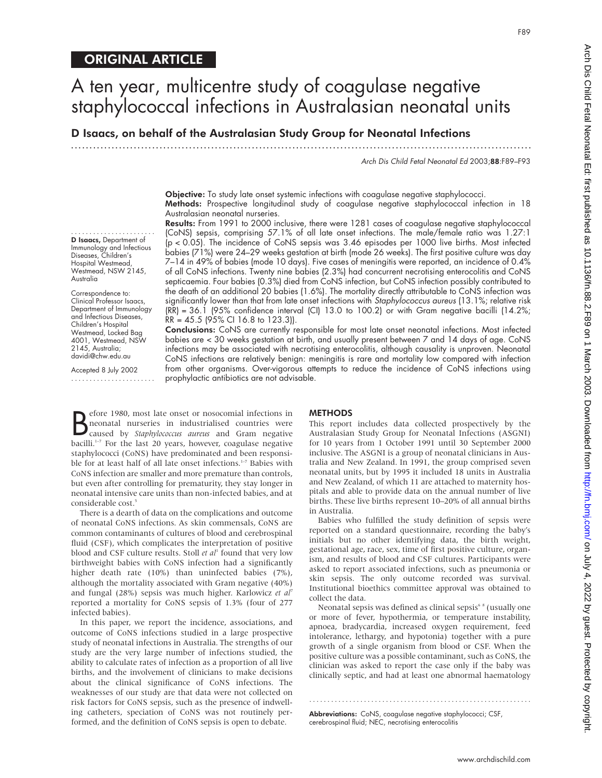D Isaacs, on behalf of the Australasian Study Group for Neonatal Infections

.............................................................................................................................

Arch Dis Child Fetal Neonatal Ed 2003;88:F89–F93

F89

Objective: To study late onset systemic infections with coagulase negative staphylococci. Methods: Prospective longitudinal study of coagulase negative staphylococcal infection in 18 Australasian neonatal nurseries.

....................... D Isaacs, Department of Immunology and Infectious Diseases, Children's Hospital Westmead, Westmead, NSW 2145, Australia

Correspondence to: Clinical Professor Isaacs, Department of Immunology and Infectious Diseases, Children's Hospital Westmead, Locked Bag 4001, Westmead, NSW 2145, Australia; davidi@chw.edu.au

Accepted 8 July 2002 .......................

Results: From 1991 to 2000 inclusive, there were 1281 cases of coagulase negative staphylococcal (CoNS) sepsis, comprising 57.1% of all late onset infections. The male/female ratio was 1.27:1 (p < 0.05). The incidence of CoNS sepsis was 3.46 episodes per 1000 live births. Most infected babies (71%) were 24–29 weeks gestation at birth (mode 26 weeks). The first positive culture was day 7–14 in 49% of babies (mode 10 days). Five cases of meningitis were reported, an incidence of 0.4% of all CoNS infections. Twenty nine babies (2.3%) had concurrent necrotising enterocolitis and CoNS septicaemia. Four babies (0.3%) died from CoNS infection, but CoNS infection possibly contributed to the death of an additional 20 babies (1.6%). The mortality directly attributable to CoNS infection was significantly lower than that from late onset infections with Staphylococcus aureus (13.1%; relative risk  $(RR) = 36.1$  (95% confidence interval (CI) 13.0 to 100.2) or with Gram negative bacilli (14.2%;  $RR = 45.5$  (95% CI 16.8 to 123.3)).

Conclusions: CoNS are currently responsible for most late onset neonatal infections. Most infected babies are < 30 weeks gestation at birth, and usually present between 7 and 14 days of age. CoNS infections may be associated with necrotising enterocolitis, although causality is unproven. Neonatal CoNS infections are relatively benign: meningitis is rare and mortality low compared with infection from other organisms. Over-vigorous attempts to reduce the incidence of CoNS infections using prophylactic antibiotics are not advisable.

**B** efore 1980, most late onset or nosocomial infections in<br> **B** neonatal nurseries in industrialised countries were<br>
caused by *Staphylococcus aureus* and Gram negative<br>
healli <sup>1-7</sup> For the lest 20 years bouguer coexules efore 1980, most late onset or nosocomial infections in neonatal nurseries in industrialised countries were bacilli. $1-7$  For the last 20 years, however, coagulase negative staphylococci (CoNS) have predominated and been responsible for at least half of all late onset infections.<sup>1-7</sup> Babies with CoNS infection are smaller and more premature than controls, but even after controlling for prematurity, they stay longer in neonatal intensive care units than non-infected babies, and at considerable cost.<sup>5</sup>

There is a dearth of data on the complications and outcome of neonatal CoNS infections. As skin commensals, CoNS are common contaminants of cultures of blood and cerebrospinal fluid (CSF), which complicates the interpretation of positive blood and CSF culture results. Stoll *et al*<sup>1</sup> found that very low birthweight babies with CoNS infection had a significantly higher death rate (10%) than uninfected babies (7%), although the mortality associated with Gram negative (40%) and fungal (28%) sepsis was much higher. Karlowicz *et al*<sup>7</sup> reported a mortality for CoNS sepsis of 1.3% (four of 277 infected babies).

In this paper, we report the incidence, associations, and outcome of CoNS infections studied in a large prospective study of neonatal infections in Australia. The strengths of our study are the very large number of infections studied, the ability to calculate rates of infection as a proportion of all live births, and the involvement of clinicians to make decisions about the clinical significance of CoNS infections. The weaknesses of our study are that data were not collected on risk factors for CoNS sepsis, such as the presence of indwelling catheters, speciation of CoNS was not routinely performed, and the definition of CoNS sepsis is open to debate.

### **METHODS**

This report includes data collected prospectively by the Australasian Study Group for Neonatal Infections (ASGNI) for 10 years from 1 October 1991 until 30 September 2000 inclusive. The ASGNI is a group of neonatal clinicians in Australia and New Zealand. In 1991, the group comprised seven neonatal units, but by 1995 it included 18 units in Australia and New Zealand, of which 11 are attached to maternity hospitals and able to provide data on the annual number of live births. These live births represent 10–20% of all annual births in Australia.

Babies who fulfilled the study definition of sepsis were reported on a standard questionnaire, recording the baby's initials but no other identifying data, the birth weight, gestational age, race, sex, time of first positive culture, organism, and results of blood and CSF cultures. Participants were asked to report associated infections, such as pneumonia or skin sepsis. The only outcome recorded was survival. Institutional bioethics committee approval was obtained to collect the data.

Neonatal sepsis was defined as clinical sepsis<sup>6</sup><sup>8</sup> (usually one or more of fever, hypothermia, or temperature instability, apnoea, bradycardia, increased oxygen requirement, feed intolerance, lethargy, and hypotonia) together with a pure growth of a single organism from blood or CSF. When the positive culture was a possible contaminant, such as CoNS, the clinician was asked to report the case only if the baby was clinically septic, and had at least one abnormal haematology

.............................................................

Abbreviations: CoNS, coagulase negative staphylococci; CSF, cerebrospinal fluid; NEC, necrotising enterocolitis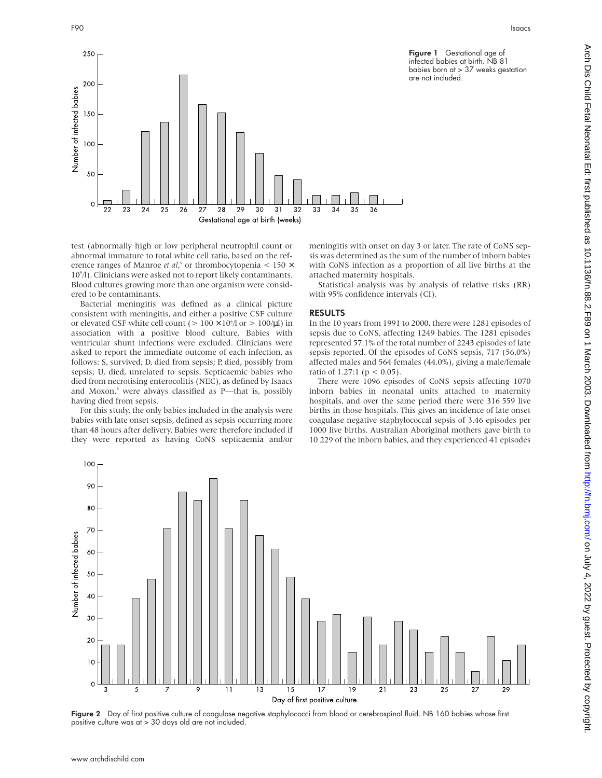

test (abnormally high or low peripheral neutrophil count or abnormal immature to total white cell ratio, based on the reference ranges of Manroe *et al*,<sup>9</sup> or thrombocytopenia < 150  $\times$ 109 /l). Clinicians were asked not to report likely contaminants. Blood cultures growing more than one organism were considered to be contaminants.

Bacterial meningitis was defined as a clinical picture consistent with meningitis, and either a positive CSF culture or elevated CSF white cell count ( $> 100 \times 10^6/\text{J}$  or  $> 100/\text{\mu}$ ) in association with a positive blood culture. Babies with ventricular shunt infections were excluded. Clinicians were asked to report the immediate outcome of each infection, as follows: S, survived; D, died from sepsis; P, died, possibly from sepsis; U, died, unrelated to sepsis. Septicaemic babies who died from necrotising enterocolitis (NEC), as defined by Isaacs and Moxon, $s$  were always classified as P—that is, possibly having died from sepsis.

For this study, the only babies included in the analysis were babies with late onset sepsis, defined as sepsis occurring more than 48 hours after delivery. Babies were therefore included if they were reported as having CoNS septicaemia and/or

meningitis with onset on day 3 or later. The rate of CoNS sepsis was determined as the sum of the number of inborn babies with CoNS infection as a proportion of all live births at the attached maternity hospitals.

Statistical analysis was by analysis of relative risks (RR) with 95% confidence intervals (CI).

## RESULTS

In the 10 years from 1991 to 2000, there were 1281 episodes of sepsis due to CoNS, affecting 1249 babies. The 1281 episodes represented 57.1% of the total number of 2243 episodes of late sepsis reported. Of the episodes of CoNS sepsis, 717 (56.0%) affected males and 564 females (44.0%), giving a male/female ratio of 1.27:1 ( $p < 0.05$ ).

There were 1096 episodes of CoNS sepsis affecting 1070 inborn babies in neonatal units attached to maternity hospitals, and over the same period there were 316 559 live births in those hospitals. This gives an incidence of late onset coagulase negative staphylococcal sepsis of 3.46 episodes per 1000 live births. Australian Aboriginal mothers gave birth to 10 229 of the inborn babies, and they experienced 41 episodes



Figure 2 Day of first positive culture of coagulase negative staphylococci from blood or cerebrospinal fluid. NB 160 babies whose first positive culture was at > 30 days old are not included.

250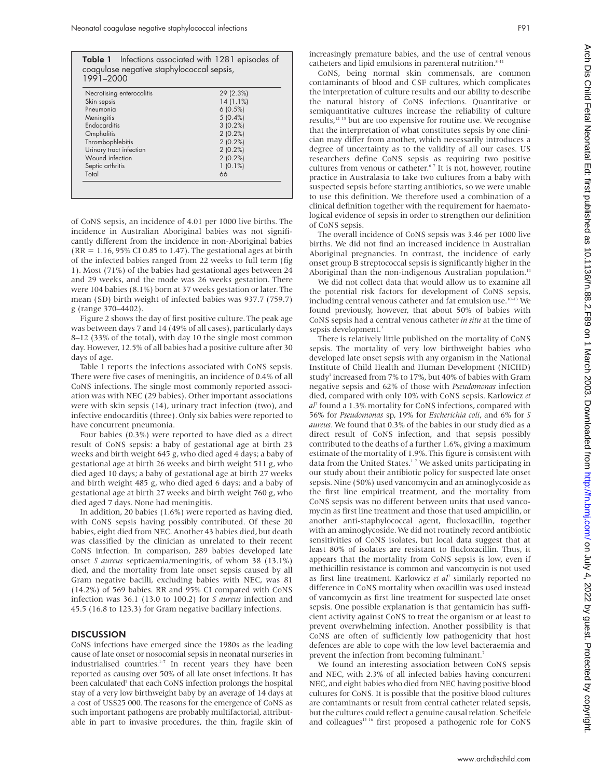|           | Table 1 Infections associated with 1281 episodes of |
|-----------|-----------------------------------------------------|
|           | coagulase negative staphylococcal sepsis,           |
| 1991-2000 |                                                     |

| Necrotising enterocolitis | 29 (2.3%)  |
|---------------------------|------------|
| Skin sepsis               | 14(1.1%)   |
| Pneumonia                 | 6(0.5%)    |
| Meningitis                | $5(0.4\%)$ |
| Endocarditis              | 3(0.2%)    |
| Omphalitis                | 2(0.2%     |
| Thrombophlebitis          | 2(0.2%     |
| Urinary tract infection   | 2(0.2%)    |
| Wound infection           | 2(0.2%)    |
| Septic arthritis          | $1(0.1\%)$ |
| Total                     | 66         |

of CoNS sepsis, an incidence of 4.01 per 1000 live births. The incidence in Australian Aboriginal babies was not significantly different from the incidence in non-Aboriginal babies  $(RR = 1.16, 95\% \text{ CI } 0.85 \text{ to } 1.47)$ . The gestational ages at birth of the infected babies ranged from 22 weeks to full term (fig 1). Most (71%) of the babies had gestational ages between 24 and 29 weeks, and the mode was 26 weeks gestation. There were 104 babies (8.1%) born at 37 weeks gestation or later. The mean (SD) birth weight of infected babies was 937.7 (759.7) g (range 370–4402).

Figure 2 shows the day of first positive culture. The peak age was between days 7 and 14 (49% of all cases), particularly days 8–12 (33% of the total), with day 10 the single most common day. However, 12.5% of all babies had a positive culture after 30 days of age.

Table 1 reports the infections associated with CoNS sepsis. There were five cases of meningitis, an incidence of 0.4% of all CoNS infections. The single most commonly reported association was with NEC (29 babies). Other important associations were with skin sepsis (14), urinary tract infection (two), and infective endocarditis (three). Only six babies were reported to have concurrent pneumonia.

Four babies (0.3%) were reported to have died as a direct result of CoNS sepsis: a baby of gestational age at birth 23 weeks and birth weight 645 g, who died aged 4 days; a baby of gestational age at birth 26 weeks and birth weight 511 g, who died aged 10 days; a baby of gestational age at birth 27 weeks and birth weight 485 g, who died aged 6 days; and a baby of gestational age at birth 27 weeks and birth weight 760 g, who died aged 7 days. None had meningitis.

In addition, 20 babies (1.6%) were reported as having died, with CoNS sepsis having possibly contributed. Of these 20 babies, eight died from NEC. Another 43 babies died, but death was classified by the clinician as unrelated to their recent CoNS infection. In comparison, 289 babies developed late onset *S aureus* septicaemia/meningitis, of whom 38 (13.1%) died, and the mortality from late onset sepsis caused by all Gram negative bacilli, excluding babies with NEC, was 81 (14.2%) of 569 babies. RR and 95% CI compared with CoNS infection was 36.1 (13.0 to 100.2) for *S aureus* infection and 45.5 (16.8 to 123.3) for Gram negative bacillary infections.

### **DISCUSSION**

CoNS infections have emerged since the 1980s as the leading cause of late onset or nosocomial sepsis in neonatal nurseries in industrialised countries.<sup>1-7</sup> In recent years they have been reported as causing over 50% of all late onset infections. It has been calculated<sup>5</sup> that each CoNS infection prolongs the hospital stay of a very low birthweight baby by an average of 14 days at a cost of US\$25 000. The reasons for the emergence of CoNS as such important pathogens are probably multifactorial, attributable in part to invasive procedures, the thin, fragile skin of

increasingly premature babies, and the use of central venous catheters and lipid emulsions in parenteral nutrition.<sup>8-11</sup>

CoNS, being normal skin commensals, are common contaminants of blood and CSF cultures, which complicates the interpretation of culture results and our ability to describe the natural history of CoNS infections. Quantitative or semiquantitative cultures increase the reliability of culture results,<sup>12 13</sup> but are too expensive for routine use. We recognise that the interpretation of what constitutes sepsis by one clinician may differ from another, which necessarily introduces a degree of uncertainty as to the validity of all our cases. US researchers define CoNS sepsis as requiring two positive cultures from venous or catheter.<sup>67</sup> It is not, however, routine practice in Australasia to take two cultures from a baby with suspected sepsis before starting antibiotics, so we were unable to use this definition. We therefore used a combination of a clinical definition together with the requirement for haematological evidence of sepsis in order to strengthen our definition of CoNS sepsis.

The overall incidence of CoNS sepsis was 3.46 per 1000 live births. We did not find an increased incidence in Australian Aboriginal pregnancies. In contrast, the incidence of early onset group B streptococcal sepsis is significantly higher in the Aboriginal than the non-indigenous Australian population.<sup>14</sup>

We did not collect data that would allow us to examine all the potential risk factors for development of CoNS sepsis, including central venous catheter and fat emulsion use.<sup>10–13</sup> We found previously, however, that about 50% of babies with CoNS sepsis had a central venous catheter *in situ* at the time of sepsis development.<sup>3</sup>

There is relatively little published on the mortality of CoNS sepsis. The mortality of very low birthweight babies who developed late onset sepsis with any organism in the National Institute of Child Health and Human Development (NICHD) study<sup>1</sup> increased from 7% to 17%, but 40% of babies with Gram negative sepsis and 62% of those with *Pseudomonas* infection died, compared with only 10% with CoNS sepsis. Karlowicz *et al*<sup>7</sup> found a 1.3% mortality for CoNS infections, compared with 56% for *Pseudomonas* sp, 19% for *Escherichia coli*, and 6% for *S aureus*. We found that 0.3% of the babies in our study died as a direct result of CoNS infection, and that sepsis possibly contributed to the deaths of a further 1.6%, giving a maximum estimate of the mortality of 1.9%. This figure is consistent with data from the United States.<sup>17</sup> We asked units participating in our study about their antibiotic policy for suspected late onset sepsis. Nine (50%) used vancomycin and an aminoglycoside as the first line empirical treatment, and the mortality from CoNS sepsis was no different between units that used vancomycin as first line treatment and those that used ampicillin, or another anti-staphylococcal agent, flucloxacillin, together with an aminoglycoside. We did not routinely record antibiotic sensitivities of CoNS isolates, but local data suggest that at least 80% of isolates are resistant to flucloxacillin. Thus, it appears that the mortality from CoNS sepsis is low, even if methicillin resistance is common and vancomycin is not used as first line treatment. Karlowicz *et al*<sup>7</sup> similarly reported no difference in CoNS mortality when oxacillin was used instead of vancomycin as first line treatment for suspected late onset sepsis. One possible explanation is that gentamicin has sufficient activity against CoNS to treat the organism or at least to prevent overwhelming infection. Another possibility is that CoNS are often of sufficiently low pathogenicity that host defences are able to cope with the low level bacteraemia and prevent the infection from becoming fulminant.<sup>7</sup>

We found an interesting association between CoNS sepsis and NEC, with 2.3% of all infected babies having concurrent NEC, and eight babies who died from NEC having positive blood cultures for CoNS. It is possible that the positive blood cultures are contaminants or result from central catheter related sepsis, but the cultures could reflect a genuine causal relation. Scheifele and colleagues<sup>15 16</sup> first proposed a pathogenic role for CoNS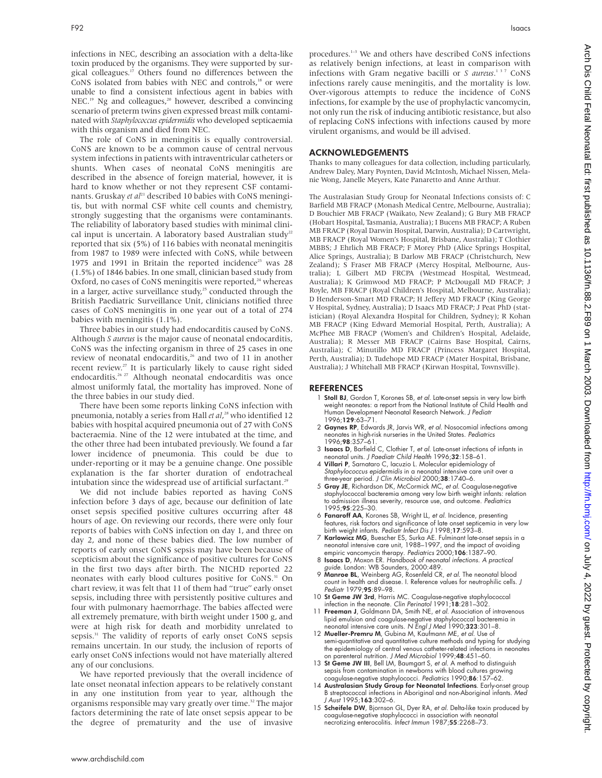infections in NEC, describing an association with a delta-like toxin produced by the organisms. They were supported by surgical colleagues.<sup>17</sup> Others found no differences between the CoNS isolated from babies with NEC and controls,<sup>18</sup> or were unable to find a consistent infectious agent in babies with  $NEC<sup>19</sup>$  Ng and colleagues,<sup>20</sup> however, described a convincing scenario of preterm twins given expressed breast milk contaminated with *Staphylococcus epidermidis* who developed septicaemia with this organism and died from NEC.

The role of CoNS in meningitis is equally controversial. CoNS are known to be a common cause of central nervous system infections in patients with intraventricular catheters or shunts. When cases of neonatal CoNS meningitis are described in the absence of foreign material, however, it is hard to know whether or not they represent CSF contaminants. Gruskay *et al*<sup>21</sup> described 10 babies with CoNS meningitis, but with normal CSF white cell counts and chemistry, strongly suggesting that the organisms were contaminants. The reliability of laboratory based studies with minimal clinical input is uncertain. A laboratory based Australian study<sup>22</sup> reported that six (5%) of 116 babies with neonatal meningitis from 1987 to 1989 were infected with CoNS, while between 1975 and 1991 in Britain the reported incidence<sup>23</sup> was 28 (1.5%) of 1846 babies. In one small, clinician based study from Oxford, no cases of CoNS meningitis were reported,<sup>24</sup> whereas in a larger, active surveillance study, $25$  conducted through the British Paediatric Surveillance Unit, clinicians notified three cases of CoNS meningitis in one year out of a total of 274 babies with meningitis (1.1%).

Three babies in our study had endocarditis caused by CoNS. Although *S aureus* is the major cause of neonatal endocarditis, CoNS was the infecting organism in three of 25 cases in one review of neonatal endocarditis,<sup>26</sup> and two of 11 in another recent review.<sup>27</sup> It is particularly likely to cause right sided endocarditis.<sup>26 27</sup> Although neonatal endocarditis was once almost uniformly fatal, the mortality has improved. None of the three babies in our study died.

There have been some reports linking CoNS infection with pneumonia, notably a series from Hall *et al*, <sup>28</sup> who identified 12 babies with hospital acquired pneumonia out of 27 with CoNS bacteraemia. Nine of the 12 were intubated at the time, and the other three had been intubated previously. We found a far lower incidence of pneumonia. This could be due to under-reporting or it may be a genuine change. One possible explanation is the far shorter duration of endotracheal intubation since the widespread use of artificial surfactant.<sup>25</sup>

We did not include babies reported as having CoNS infection before 3 days of age, because our definition of late onset sepsis specified positive cultures occurring after 48 hours of age. On reviewing our records, there were only four reports of babies with CoNS infection on day 1, and three on day 2, and none of these babies died. The low number of reports of early onset CoNS sepsis may have been because of scepticism about the significance of positive cultures for CoNS in the first two days after birth. The NICHD reported 22 neonates with early blood cultures positive for CoNS.<sup>31</sup> On chart review, it was felt that 11 of them had "true" early onset sepsis, including three with persistently positive cultures and four with pulmonary haemorrhage. The babies affected were all extremely premature, with birth weight under 1500 g, and were at high risk for death and morbidity unrelated to sepsis.<sup>31</sup> The validity of reports of early onset CoNS sepsis remains uncertain. In our study, the inclusion of reports of early onset CoNS infections would not have materially altered any of our conclusions.

We have reported previously that the overall incidence of late onset neonatal infection appears to be relatively constant in any one institution from year to year, although the organisms responsible may vary greatly over time.<sup>32</sup> The major factors determining the rate of late onset sepsis appear to be the degree of prematurity and the use of invasive

procedures.<sup>1-3</sup> We and others have described CoNS infections as relatively benign infections, at least in comparison with infections with Gram negative bacilli or *S aureus*. <sup>137</sup> CoNS infections rarely cause meningitis, and the mortality is low. Over-vigorous attempts to reduce the incidence of CoNS infections, for example by the use of prophylactic vancomycin, not only run the risk of inducing antibiotic resistance, but also of replacing CoNS infections with infections caused by more virulent organisms, and would be ill advised.

# ACKNOWLEDGEMENTS

Thanks to many colleagues for data collection, including particularly, Andrew Daley, Mary Poynten, David McIntosh, Michael Nissen, Melanie Wong, Janelle Meyers, Kate Panaretto and Anne Arthur.

The Australasian Study Group for Neonatal Infections consists of: C Barfield MB FRACP (Monash Medical Centre, Melbourne, Australia); D Bouchier MB FRACP (Waikato, New Zealand); G Bury MB FRACP (Hobart Hospital, Tasmania, Australia); I Bucens MB FRACP; A Ruben MB FRACP (Royal Darwin Hospital, Darwin, Australia); D Cartwright, MB FRACP (Royal Women's Hospital, Brisbane, Australia); T Clothier MBBS; J Ehrlich MB FRACP; F Morey PhD (Alice Springs Hospital, Alice Springs, Australia); B Darlow MB FRACP (Christchurch, New Zealand); S Fraser MB FRACP (Mercy Hospital, Melbourne, Australia); L Gilbert MD FRCPA (Westmead Hospital, Westmead, Australia); K Grimwood MD FRACP; P McDougall MD FRACP; J Royle, MB FRACP (Royal Children's Hospital, Melbourne, Australia); D Henderson-Smart MD FRACP; H Jeffery MD FRACP (King George V Hospital, Sydney, Australia); D Isaacs MD FRACP; J Peat PhD (statistician) (Royal Alexandra Hospital for Children, Sydney); R Kohan MB FRACP (King Edward Memorial Hospital, Perth, Australia); A McPhee MB FRACP (Women's and Children's Hospital, Adelaide, Australia); R Messer MB FRACP (Cairns Base Hospital, Cairns, Australia); C Minutillo MD FRACP (Princess Margaret Hospital, Perth, Australia); D. Tudehope MD FRACP (Mater Hospital, Brisbane, Australia); J Whitehall MB FRACP (Kirwan Hospital, Townsville).

## REFERENCES

- 1 Stoll BJ, Gordon T, Korones SB, et al. Late-onset sepsis in very low birth weight neonates: a report from the National Institute of Child Health and Human Development Neonatal Research Network. J Pediatr 1996:129:63
- 2 Gaynes RP, Edwards JR, Jarvis WR, et al. Nosocomial infections among neonates in high-risk nurseries in the United States. Pediatrics  $1996.98.357 - 61$
- 3 Isaacs D, Barfield C, Clothier T, et al. Late-onset infections of infants in neonatal units. J Paediatr Child Health 1996;32:158–61.
- 4 Villari P, Sarnataro C, Iacuzio L. Molecular epidemiology of Staphylococcus epidermidis in a neonatal intensive care unit over a three-year period. J Clin Microbiol 2000;38:1740–6.
- 5 Gray JE, Richardson DK, McCormick MC, et al. Coagulase-negative staphylococcal bacteremia among very low birth weight infants: relation to admission illness severity, resource use, and outcome. Pediatrics 1995:95:225-30.
- 6 Fanaroff AA, Korones SB, Wright LL, et al. Incidence, presenting features, risk factors and significance of late onset septicemia in very low birth weight infants. Pediatr Infect Dis J 1998;17:593–8.
- 7 Karlowicz MG, Buescher ES, Surka AE. Fulminant late-onset sepsis in a neonatal intensive care unit, 1988–1997, and the impact of avoiding empiric vancomycin therapy. Pediatrics 2000;106:1387–90.
- 8 Isaacs D, Moxon ER. Handbook of neonatal infections. A practical guide. London: WB Saunders, 2000:489.
- 9 Manroe BL, Weinberg AG, Rosenfeld CR, et al. The neonatal blood count in health and disease. I. Reference values for neutrophilic cells. J Pediatr 1979;95:89-98.
- 10 St Geme JW 3rd, Harris MC. Coagulase-negative staphylococcal infection in the neonate. Clin Perinatol 1991;18:281–302.
- 11 Freeman J, Goldmann DA, Smith NE, et al. Association of intravenous lipid emulsion and coagulase-negative staphylococcal bacteremia in<br>neonatal intensive care units. N *Engl J Med* 1990;**323**:301–8.
- 12 Mueller-Premru M, Gubina M, Kaufmann ME, et al. Use of semi-quantitative and quantitative culture methods and typing for studying the epidemiology of central venous catheter-related infections in neonates on parenteral nutrition. J Med Microbiol 1999;48:451–60.
- 13 St Geme JW III, Bell LM, Baumgart S, et al. A method to distinguish sepsis from contamination in newborns with blood cultures growing<br>coagulase-negative staphylococci. *Pediatrics* 1990;**86**:157–62.
- 14 Australasian Study Group for Neonatal Infections. Early-onset group B streptococcal infections in Aboriginal and non-Aboriginal infants. Med J Aust 1995;163:302–6.
- 15 Scheifele DW, Bjornson GL, Dyer RA, et al. Delta-like toxin produced by coagulase-negative staphylococci in association with neonatal necrotizing enterocolitis. Infect Immun 1987;55:2268-73.